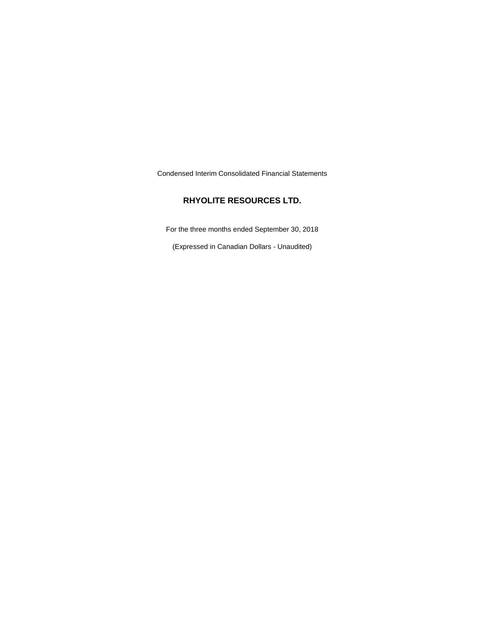Condensed Interim Consolidated Financial Statements

# **RHYOLITE RESOURCES LTD.**

For the three months ended September 30, 2018

(Expressed in Canadian Dollars - Unaudited)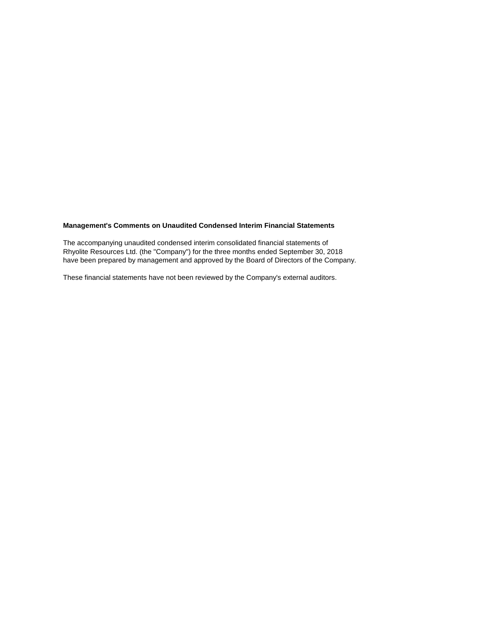# **Management's Comments on Unaudited Condensed Interim Financial Statements**

The accompanying unaudited condensed interim consolidated financial statements of Rhyolite Resources Ltd. (the "Company") for the three months ended September 30, 2018 have been prepared by management and approved by the Board of Directors of the Company.

These financial statements have not been reviewed by the Company's external auditors.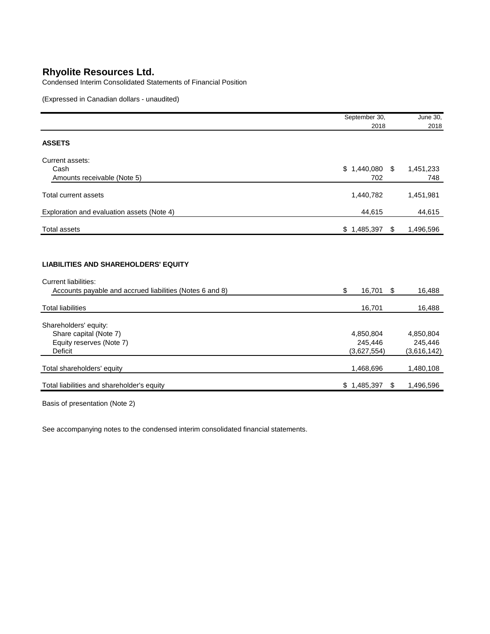Condensed Interim Consolidated Statements of Financial Position

(Expressed in Canadian dollars - unaudited)

|                                                                                                                                        | September 30,   | June 30,        |
|----------------------------------------------------------------------------------------------------------------------------------------|-----------------|-----------------|
|                                                                                                                                        | 2018            | 2018            |
| <b>ASSETS</b>                                                                                                                          |                 |                 |
| Current assets:                                                                                                                        |                 |                 |
| Cash                                                                                                                                   | $$1,440,080$ \$ | 1,451,233       |
| Amounts receivable (Note 5)                                                                                                            | 702             | 748             |
| <b>Total current assets</b>                                                                                                            | 1,440,782       | 1,451,981       |
| Exploration and evaluation assets (Note 4)                                                                                             | 44,615          | 44,615          |
| <b>Total assets</b>                                                                                                                    | \$1,485,397     | \$<br>1,496,596 |
| <b>LIABILITIES AND SHAREHOLDERS' EQUITY</b><br><b>Current liabilities:</b><br>Accounts payable and accrued liabilities (Notes 6 and 8) | \$<br>16,701 \$ | 16,488          |
| <b>Total liabilities</b>                                                                                                               | 16,701          | 16,488          |
| Shareholders' equity:                                                                                                                  |                 |                 |
| Share capital (Note 7)                                                                                                                 | 4,850,804       | 4,850,804       |
| Equity reserves (Note 7)                                                                                                               | 245,446         | 245,446         |
| <b>Deficit</b>                                                                                                                         | (3,627,554)     | (3,616,142)     |
| Total shareholders' equity                                                                                                             | 1,468,696       | 1,480,108       |
| Total liabilities and shareholder's equity                                                                                             | \$1,485,397     | \$<br>1,496,596 |

Basis of presentation (Note 2)

See accompanying notes to the condensed interim consolidated financial statements.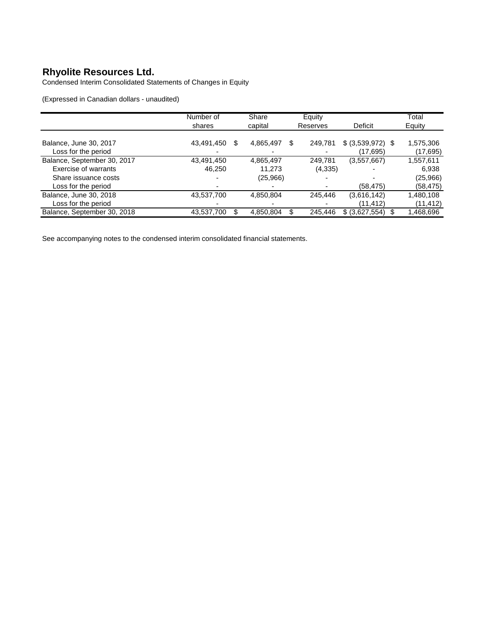Condensed Interim Consolidated Statements of Changes in Equity

(Expressed in Canadian dollars - unaudited)

|                             | Number of       | Share     | Equity       |                   | Total     |
|-----------------------------|-----------------|-----------|--------------|-------------------|-----------|
|                             | shares          | capital   | Reserves     | <b>Deficit</b>    | Equity    |
|                             |                 |           |              |                   |           |
| Balance, June 30, 2017      | 43,491,450<br>S | 4,865,497 | S<br>249,781 | \$ (3,539,972) \$ | 1,575,306 |
| Loss for the period         |                 |           |              | (17,695)          | (17,695)  |
| Balance, September 30, 2017 | 43,491,450      | 4,865,497 | 249,781      | (3,557,667)       | 1,557,611 |
| Exercise of warrants        | 46.250          | 11.273    | (4,335)      |                   | 6,938     |
| Share issuance costs        |                 | (25,966)  |              |                   | (25,966)  |
| Loss for the period         |                 |           |              | (58, 475)         | (58,475)  |
| Balance, June 30, 2018      | 43,537,700      | 4,850,804 | 245.446      | (3,616,142)       | 1,480,108 |
| Loss for the period         |                 |           |              | (11, 412)         | (11,412)  |
| Balance, September 30, 2018 | 43,537,700      | 4,850,804 | 245.446      | \$ (3,627,554)    | .468,696  |

See accompanying notes to the condensed interim consolidated financial statements.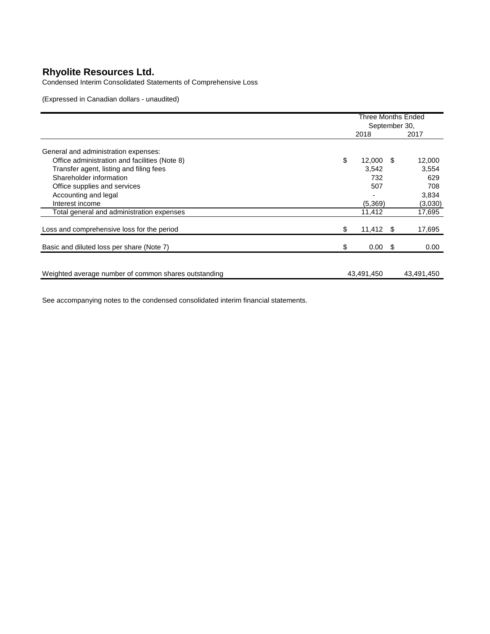Condensed Interim Consolidated Statements of Comprehensive Loss

(Expressed in Canadian dollars - unaudited)

|                                                      | <b>Three Months Ended</b><br>September 30, |                 |  |            |
|------------------------------------------------------|--------------------------------------------|-----------------|--|------------|
|                                                      |                                            | 2018            |  | 2017       |
| General and administration expenses:                 |                                            |                 |  |            |
| Office administration and facilities (Note 8)        | \$                                         | $12,000$ \$     |  | 12,000     |
| Transfer agent, listing and filing fees              |                                            | 3.542           |  | 3,554      |
| Shareholder information                              |                                            | 732             |  | 629        |
| Office supplies and services                         |                                            | 507             |  | 708        |
| Accounting and legal                                 |                                            |                 |  | 3,834      |
| Interest income                                      |                                            | (5,369)         |  | (3,030)    |
| Total general and administration expenses            |                                            | 11,412          |  | 17,695     |
| Loss and comprehensive loss for the period           | \$                                         | $11,412$ \$     |  | 17,695     |
| Basic and diluted loss per share (Note 7)            | \$                                         | $0.00 \quad$ \$ |  | 0.00       |
|                                                      |                                            |                 |  |            |
| Weighted average number of common shares outstanding |                                            | 43,491,450      |  | 43,491,450 |

See accompanying notes to the condensed consolidated interim financial statements.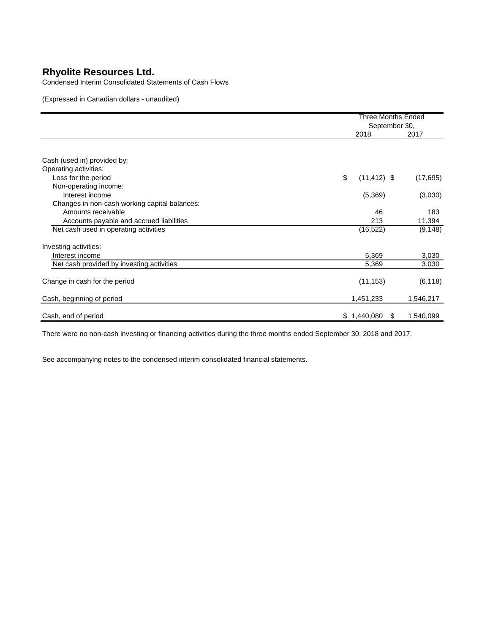Condensed Interim Consolidated Statements of Cash Flows

(Expressed in Canadian dollars - unaudited)

|                                               |                      | <b>Three Months Ended</b><br>September 30, |  |  |
|-----------------------------------------------|----------------------|--------------------------------------------|--|--|
|                                               | 2018                 | 2017                                       |  |  |
|                                               |                      |                                            |  |  |
| Cash (used in) provided by:                   |                      |                                            |  |  |
| Operating activities:                         |                      |                                            |  |  |
| Loss for the period                           | \$<br>$(11, 412)$ \$ | (17, 695)                                  |  |  |
| Non-operating income:                         |                      |                                            |  |  |
| Interest income                               | (5,369)              | (3,030)                                    |  |  |
| Changes in non-cash working capital balances: |                      |                                            |  |  |
| Amounts receivable                            | 46                   | 183                                        |  |  |
| Accounts payable and accrued liabilities      | 213                  | 11,394                                     |  |  |
| Net cash used in operating activities         | (16,522)             | (9, 148)                                   |  |  |
| Investing activities:                         |                      |                                            |  |  |
| Interest income                               | 5,369                | 3,030                                      |  |  |
| Net cash provided by investing activities     | 5,369                | 3,030                                      |  |  |
| Change in cash for the period                 | (11, 153)            | (6, 118)                                   |  |  |
| Cash, beginning of period                     | 1,451,233            | 1,546,217                                  |  |  |
| Cash, end of period                           | \$1,440,080          | 1,540,099<br>S                             |  |  |

There were no non-cash investing or financing activities during the three months ended September 30, 2018 and 2017.

See accompanying notes to the condensed interim consolidated financial statements.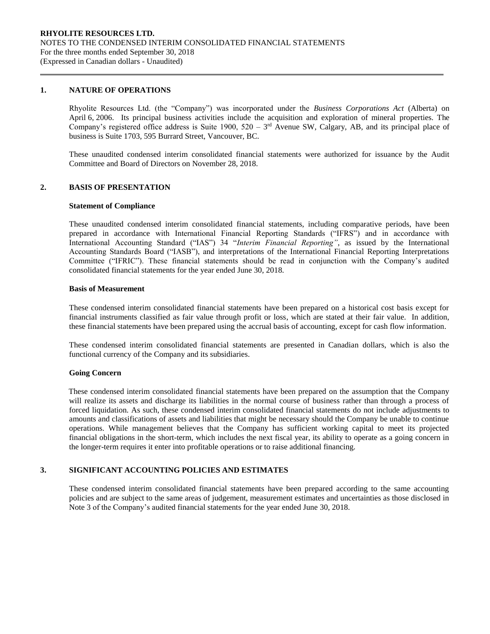### **1. NATURE OF OPERATIONS**

Rhyolite Resources Ltd. (the "Company") was incorporated under the *Business Corporations Act* (Alberta) on April 6, 2006. Its principal business activities include the acquisition and exploration of mineral properties. The Company's registered office address is Suite 1900,  $520 - 3<sup>rd</sup>$  Avenue SW, Calgary, AB, and its principal place of business is Suite 1703, 595 Burrard Street, Vancouver, BC.

These unaudited condensed interim consolidated financial statements were authorized for issuance by the Audit Committee and Board of Directors on November 28, 2018.

## **2. BASIS OF PRESENTATION**

### **Statement of Compliance**

These unaudited condensed interim consolidated financial statements, including comparative periods, have been prepared in accordance with International Financial Reporting Standards ("IFRS") and in accordance with International Accounting Standard ("IAS") 34 "*Interim Financial Reporting"*, as issued by the International Accounting Standards Board ("IASB"), and interpretations of the International Financial Reporting Interpretations Committee ("IFRIC"). These financial statements should be read in conjunction with the Company's audited consolidated financial statements for the year ended June 30, 2018.

### **Basis of Measurement**

These condensed interim consolidated financial statements have been prepared on a historical cost basis except for financial instruments classified as fair value through profit or loss, which are stated at their fair value. In addition, these financial statements have been prepared using the accrual basis of accounting, except for cash flow information.

These condensed interim consolidated financial statements are presented in Canadian dollars, which is also the functional currency of the Company and its subsidiaries.

#### **Going Concern**

These condensed interim consolidated financial statements have been prepared on the assumption that the Company will realize its assets and discharge its liabilities in the normal course of business rather than through a process of forced liquidation. As such, these condensed interim consolidated financial statements do not include adjustments to amounts and classifications of assets and liabilities that might be necessary should the Company be unable to continue operations. While management believes that the Company has sufficient working capital to meet its projected financial obligations in the short-term, which includes the next fiscal year, its ability to operate as a going concern in the longer-term requires it enter into profitable operations or to raise additional financing.

# **3. SIGNIFICANT ACCOUNTING POLICIES AND ESTIMATES**

These condensed interim consolidated financial statements have been prepared according to the same accounting policies and are subject to the same areas of judgement, measurement estimates and uncertainties as those disclosed in Note 3 of the Company's audited financial statements for the year ended June 30, 2018.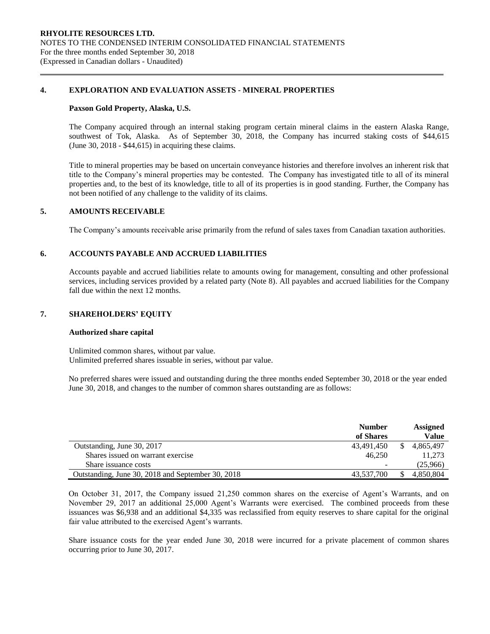## **4. EXPLORATION AND EVALUATION ASSETS - MINERAL PROPERTIES**

### **Paxson Gold Property, Alaska, U.S.**

The Company acquired through an internal staking program certain mineral claims in the eastern Alaska Range, southwest of Tok, Alaska. As of September 30, 2018, the Company has incurred staking costs of \$44,615 (June 30, 2018 - \$44,615) in acquiring these claims.

Title to mineral properties may be based on uncertain conveyance histories and therefore involves an inherent risk that title to the Company's mineral properties may be contested. The Company has investigated title to all of its mineral properties and, to the best of its knowledge, title to all of its properties is in good standing. Further, the Company has not been notified of any challenge to the validity of its claims.

## **5. AMOUNTS RECEIVABLE**

The Company's amounts receivable arise primarily from the refund of sales taxes from Canadian taxation authorities.

## **6. ACCOUNTS PAYABLE AND ACCRUED LIABILITIES**

Accounts payable and accrued liabilities relate to amounts owing for management, consulting and other professional services, including services provided by a related party (Note 8). All payables and accrued liabilities for the Company fall due within the next 12 months.

## **7. SHAREHOLDERS' EQUITY**

### **Authorized share capital**

Unlimited common shares, without par value. Unlimited preferred shares issuable in series, without par value.

No preferred shares were issued and outstanding during the three months ended September 30, 2018 or the year ended June 30, 2018, and changes to the number of common shares outstanding are as follows:

|                                                   | <b>Number</b> | <b>Assigned</b> |
|---------------------------------------------------|---------------|-----------------|
|                                                   | of Shares     | Value           |
| Outstanding, June 30, 2017                        | 43,491,450    | 4.865.497       |
| Shares issued on warrant exercise                 | 46.250        | 11.273          |
| Share issuance costs                              | -             | (25,966)        |
| Outstanding, June 30, 2018 and September 30, 2018 | 43.537.700    | 4.850.804       |

On October 31, 2017, the Company issued 21,250 common shares on the exercise of Agent's Warrants, and on November 29, 2017 an additional 25,000 Agent's Warrants were exercised. The combined proceeds from these issuances was \$6,938 and an additional \$4,335 was reclassified from equity reserves to share capital for the original fair value attributed to the exercised Agent's warrants.

Share issuance costs for the year ended June 30, 2018 were incurred for a private placement of common shares occurring prior to June 30, 2017.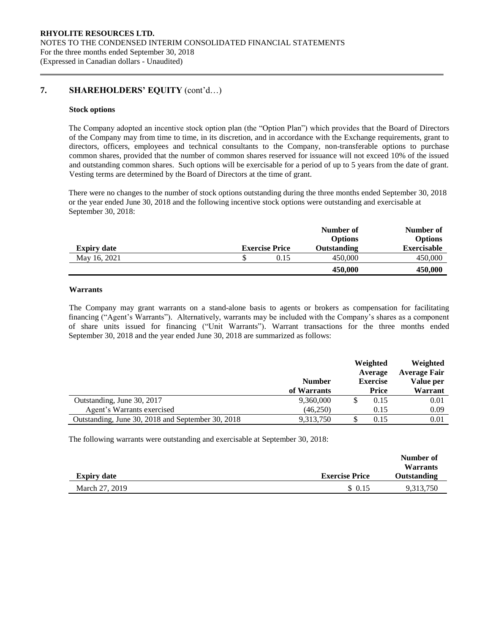# **7. SHAREHOLDERS' EQUITY** (cont'd…)

### **Stock options**

The Company adopted an incentive stock option plan (the "Option Plan") which provides that the Board of Directors of the Company may from time to time, in its discretion, and in accordance with the Exchange requirements, grant to directors, officers, employees and technical consultants to the Company, non-transferable options to purchase common shares, provided that the number of common shares reserved for issuance will not exceed 10% of the issued and outstanding common shares. Such options will be exercisable for a period of up to 5 years from the date of grant. Vesting terms are determined by the Board of Directors at the time of grant.

There were no changes to the number of stock options outstanding during the three months ended September 30, 2018 or the year ended June 30, 2018 and the following incentive stock options were outstanding and exercisable at September 30, 2018:

|                    |                       | Number of<br><b>Options</b> | Number of<br><b>Options</b> |
|--------------------|-----------------------|-----------------------------|-----------------------------|
| <b>Expiry date</b> | <b>Exercise Price</b> | <b>Outstanding</b>          | <b>Exercisable</b>          |
| May 16, 2021       | 0.15                  | 450,000                     | 450,000                     |
|                    |                       | 450,000                     | 450,000                     |

# **Warrants**

The Company may grant warrants on a stand-alone basis to agents or brokers as compensation for facilitating financing ("Agent's Warrants"). Alternatively, warrants may be included with the Company's shares as a component of share units issued for financing ("Unit Warrants"). Warrant transactions for the three months ended September 30, 2018 and the year ended June 30, 2018 are summarized as follows:

|                                                   | <b>Number</b> | Weighted<br>Average<br><b>Exercise</b> |              | Weighted<br><b>Average Fair</b><br>Value per |
|---------------------------------------------------|---------------|----------------------------------------|--------------|----------------------------------------------|
|                                                   | of Warrants   |                                        | <b>Price</b> | Warrant                                      |
| Outstanding, June 30, 2017                        | 9,360,000     |                                        | 0.15         | 0.01                                         |
| Agent's Warrants exercised                        | (46,250)      |                                        | 0.15         | 0.09                                         |
| Outstanding, June 30, 2018 and September 30, 2018 | 9,313,750     |                                        | 0.15         | 0.01                                         |

The following warrants were outstanding and exercisable at September 30, 2018:

|                    |                       | Number of<br><b>Warrants</b> |
|--------------------|-----------------------|------------------------------|
| <b>Expiry date</b> | <b>Exercise Price</b> | Outstanding                  |
| March 27, 2019     | \$0.15                | 9,313,750                    |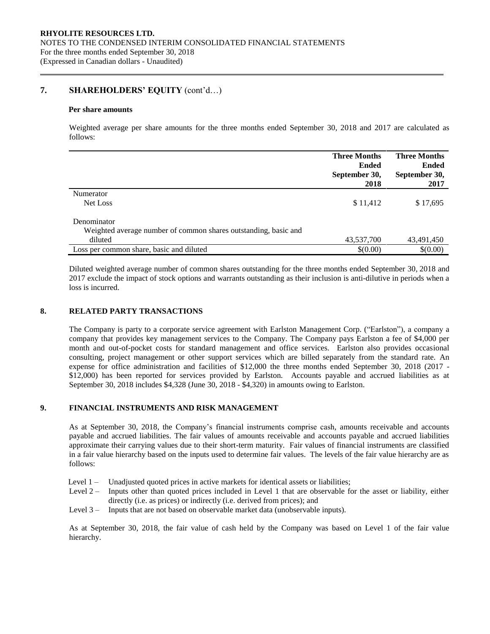# **7. SHAREHOLDERS' EQUITY** (cont'd…)

### **Per share amounts**

Weighted average per share amounts for the three months ended September 30, 2018 and 2017 are calculated as follows:

|                                                                 | <b>Three Months</b><br><b>Ended</b><br>September 30,<br>2018 | <b>Three Months</b><br><b>Ended</b><br>September 30,<br>2017 |
|-----------------------------------------------------------------|--------------------------------------------------------------|--------------------------------------------------------------|
|                                                                 |                                                              |                                                              |
| Numerator                                                       |                                                              |                                                              |
| Net Loss                                                        | \$11,412                                                     | \$17,695                                                     |
| Denominator                                                     |                                                              |                                                              |
| Weighted average number of common shares outstanding, basic and |                                                              |                                                              |
| diluted                                                         | 43,537,700                                                   | 43,491,450                                                   |
| Loss per common share, basic and diluted                        | \$(0.00)                                                     | \$(0.00)                                                     |

Diluted weighted average number of common shares outstanding for the three months ended September 30, 2018 and 2017 exclude the impact of stock options and warrants outstanding as their inclusion is anti-dilutive in periods when a loss is incurred.

## **8. RELATED PARTY TRANSACTIONS**

The Company is party to a corporate service agreement with Earlston Management Corp. ("Earlston"), a company a company that provides key management services to the Company. The Company pays Earlston a fee of \$4,000 per month and out-of-pocket costs for standard management and office services. Earlston also provides occasional consulting, project management or other support services which are billed separately from the standard rate. An expense for office administration and facilities of \$12,000 the three months ended September 30, 2018 (2017 - \$12,000) has been reported for services provided by Earlston. Accounts payable and accrued liabilities as at September 30, 2018 includes \$4,328 (June 30, 2018 - \$4,320) in amounts owing to Earlston.

## **9. FINANCIAL INSTRUMENTS AND RISK MANAGEMENT**

As at September 30, 2018, the Company's financial instruments comprise cash, amounts receivable and accounts payable and accrued liabilities. The fair values of amounts receivable and accounts payable and accrued liabilities approximate their carrying values due to their short-term maturity. Fair values of financial instruments are classified in a fair value hierarchy based on the inputs used to determine fair values. The levels of the fair value hierarchy are as follows:

- Level 1 Unadjusted quoted prices in active markets for identical assets or liabilities;
- Level 2 Inputs other than quoted prices included in Level 1 that are observable for the asset or liability, either directly (i.e. as prices) or indirectly (i.e. derived from prices); and
- Level 3 Inputs that are not based on observable market data (unobservable inputs).

As at September 30, 2018, the fair value of cash held by the Company was based on Level 1 of the fair value hierarchy.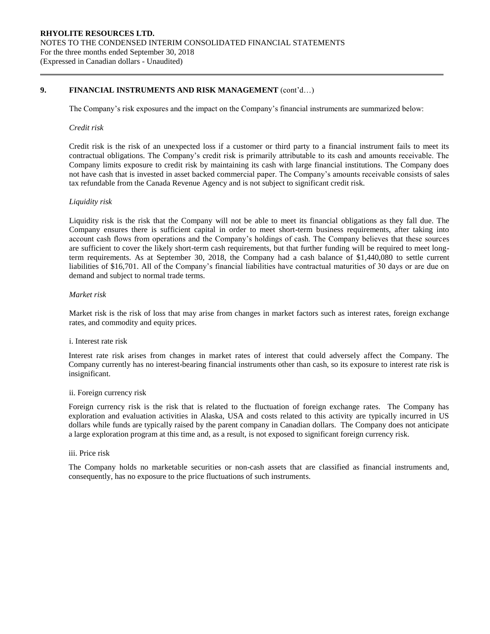# **9. FINANCIAL INSTRUMENTS AND RISK MANAGEMENT** (cont'd…)

The Company's risk exposures and the impact on the Company's financial instruments are summarized below:

### *Credit risk*

Credit risk is the risk of an unexpected loss if a customer or third party to a financial instrument fails to meet its contractual obligations. The Company's credit risk is primarily attributable to its cash and amounts receivable. The Company limits exposure to credit risk by maintaining its cash with large financial institutions. The Company does not have cash that is invested in asset backed commercial paper. The Company's amounts receivable consists of sales tax refundable from the Canada Revenue Agency and is not subject to significant credit risk.

### *Liquidity risk*

Liquidity risk is the risk that the Company will not be able to meet its financial obligations as they fall due. The Company ensures there is sufficient capital in order to meet short-term business requirements, after taking into account cash flows from operations and the Company's holdings of cash. The Company believes that these sources are sufficient to cover the likely short-term cash requirements, but that further funding will be required to meet longterm requirements. As at September 30, 2018, the Company had a cash balance of \$1,440,080 to settle current liabilities of \$16,701. All of the Company's financial liabilities have contractual maturities of 30 days or are due on demand and subject to normal trade terms.

## *Market risk*

Market risk is the risk of loss that may arise from changes in market factors such as interest rates, foreign exchange rates, and commodity and equity prices.

#### i. Interest rate risk

Interest rate risk arises from changes in market rates of interest that could adversely affect the Company. The Company currently has no interest-bearing financial instruments other than cash, so its exposure to interest rate risk is insignificant.

#### ii. Foreign currency risk

Foreign currency risk is the risk that is related to the fluctuation of foreign exchange rates. The Company has exploration and evaluation activities in Alaska, USA and costs related to this activity are typically incurred in US dollars while funds are typically raised by the parent company in Canadian dollars. The Company does not anticipate a large exploration program at this time and, as a result, is not exposed to significant foreign currency risk.

## iii. Price risk

The Company holds no marketable securities or non-cash assets that are classified as financial instruments and, consequently, has no exposure to the price fluctuations of such instruments.